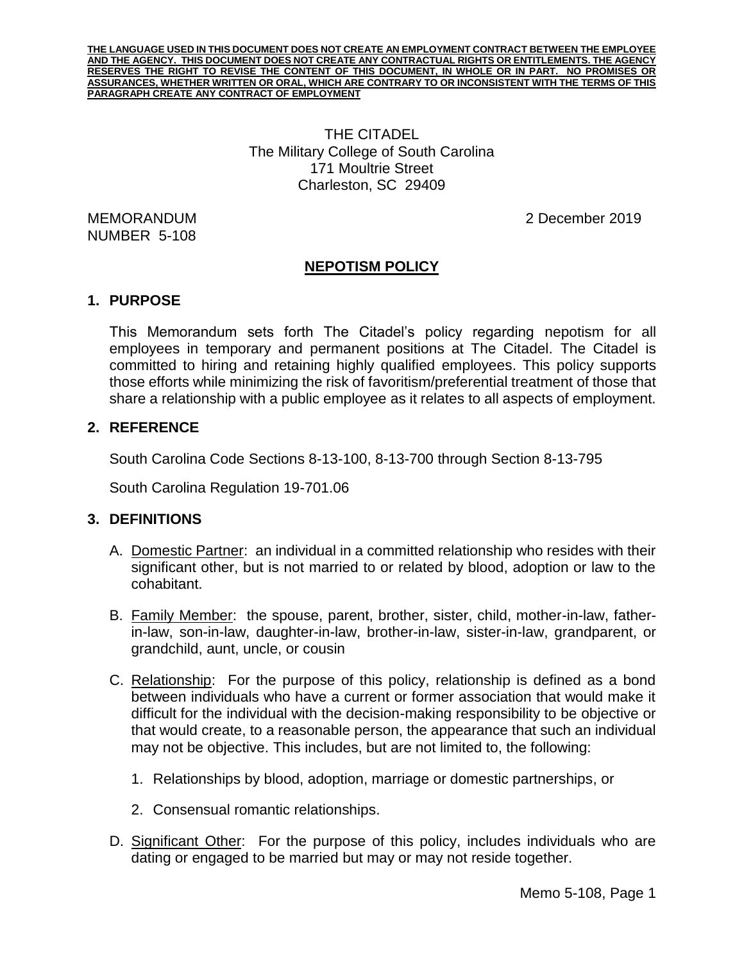**THE LANGUAGE USED IN THIS DOCUMENT DOES NOT CREATE AN EMPLOYMENT CONTRACT BETWEEN THE EMPLOYEE AND THE AGENCY. THIS DOCUMENT DOES NOT CREATE ANY CONTRACTUAL RIGHTS OR ENTITLEMENTS. THE AGENCY RESERVES THE RIGHT TO REVISE THE CONTENT OF THIS DOCUMENT, IN WHOLE OR IN PART. NO PROMISES OR ASSURANCES, WHETHER WRITTEN OR ORAL, WHICH ARE CONTRARY TO OR INCONSISTENT WITH THE TERMS OF THIS PARAGRAPH CREATE ANY CONTRACT OF EMPLOYMENT**

> THE CITADEL The Military College of South Carolina 171 Moultrie Street Charleston, SC 29409

NUMBER 5-108

MEMORANDUM 2 December 2019

# **NEPOTISM POLICY**

### **1. PURPOSE**

This Memorandum sets forth The Citadel's policy regarding nepotism for all employees in temporary and permanent positions at The Citadel. The Citadel is committed to hiring and retaining highly qualified employees. This policy supports those efforts while minimizing the risk of favoritism/preferential treatment of those that share a relationship with a public employee as it relates to all aspects of employment.

### **2. REFERENCE**

South Carolina Code Sections 8-13-100, 8-13-700 through Section 8-13-795

South Carolina Regulation 19-701.06

### **3. DEFINITIONS**

- A. Domestic Partner: an individual in a committed relationship who resides with their significant other, but is not married to or related by blood, adoption or law to the cohabitant.
- B. Family Member: the spouse, parent, brother, sister, child, mother-in-law, fatherin-law, son-in-law, daughter-in-law, brother-in-law, sister-in-law, grandparent, or grandchild, aunt, uncle, or cousin
- C. Relationship: For the purpose of this policy, relationship is defined as a bond between individuals who have a current or former association that would make it difficult for the individual with the decision-making responsibility to be objective or that would create, to a reasonable person, the appearance that such an individual may not be objective. This includes, but are not limited to, the following:
	- 1. Relationships by blood, adoption, marriage or domestic partnerships, or
	- 2. Consensual romantic relationships.
- D. Significant Other: For the purpose of this policy, includes individuals who are dating or engaged to be married but may or may not reside together.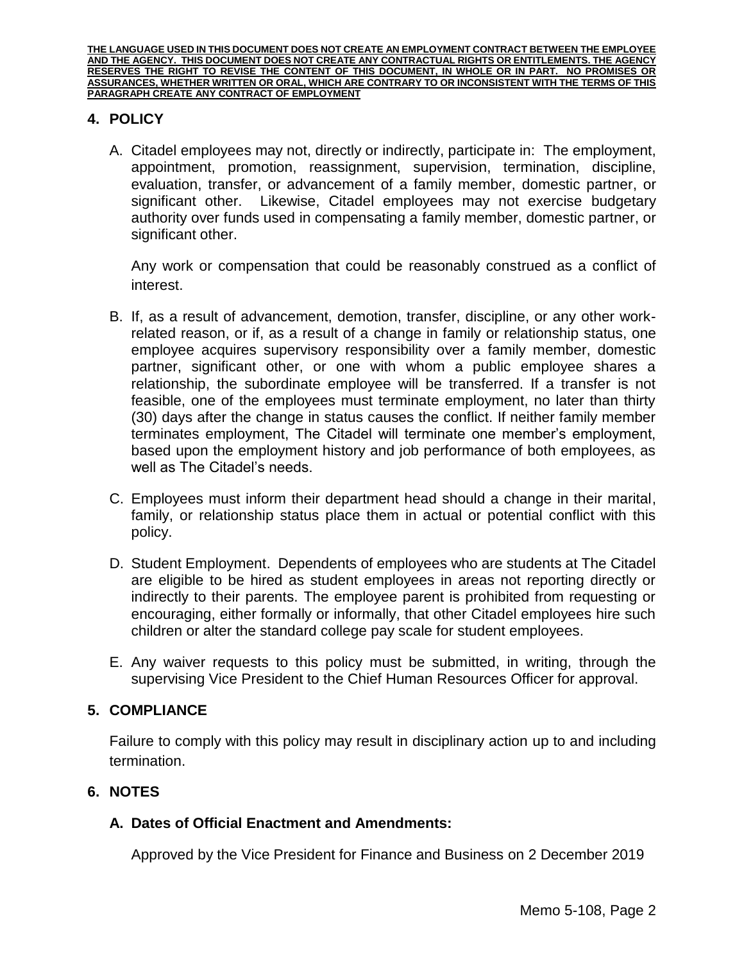**THE LANGUAGE USED IN THIS DOCUMENT DOES NOT CREATE AN EMPLOYMENT CONTRACT BETWEEN THE EMPLOYEE AND THE AGENCY. THIS DOCUMENT DOES NOT CREATE ANY CONTRACTUAL RIGHTS OR ENTITLEMENTS. THE AGENCY RESERVES THE RIGHT TO REVISE THE CONTENT OF THIS DOCUMENT, IN WHOLE OR IN PART. NO PROMISES OR ASSURANCES, WHETHER WRITTEN OR ORAL, WHICH ARE CONTRARY TO OR INCONSISTENT WITH THE TERMS OF THIS PARAGRAPH CREATE ANY CONTRACT OF EMPLOYMENT**

# **4. POLICY**

A. Citadel employees may not, directly or indirectly, participate in: The employment, appointment, promotion, reassignment, supervision, termination, discipline, evaluation, transfer, or advancement of a family member, domestic partner, or significant other. Likewise, Citadel employees may not exercise budgetary authority over funds used in compensating a family member, domestic partner, or significant other.

Any work or compensation that could be reasonably construed as a conflict of interest.

- B. If, as a result of advancement, demotion, transfer, discipline, or any other workrelated reason, or if, as a result of a change in family or relationship status, one employee acquires supervisory responsibility over a family member, domestic partner, significant other, or one with whom a public employee shares a relationship, the subordinate employee will be transferred. If a transfer is not feasible, one of the employees must terminate employment, no later than thirty (30) days after the change in status causes the conflict. If neither family member terminates employment, The Citadel will terminate one member's employment, based upon the employment history and job performance of both employees, as well as The Citadel's needs.
- C. Employees must inform their department head should a change in their marital, family, or relationship status place them in actual or potential conflict with this policy.
- D. Student Employment. Dependents of employees who are students at The Citadel are eligible to be hired as student employees in areas not reporting directly or indirectly to their parents. The employee parent is prohibited from requesting or encouraging, either formally or informally, that other Citadel employees hire such children or alter the standard college pay scale for student employees.
- E. Any waiver requests to this policy must be submitted, in writing, through the supervising Vice President to the Chief Human Resources Officer for approval.

### **5. COMPLIANCE**

Failure to comply with this policy may result in disciplinary action up to and including termination.

### **6. NOTES**

### **A. Dates of Official Enactment and Amendments:**

Approved by the Vice President for Finance and Business on 2 December 2019